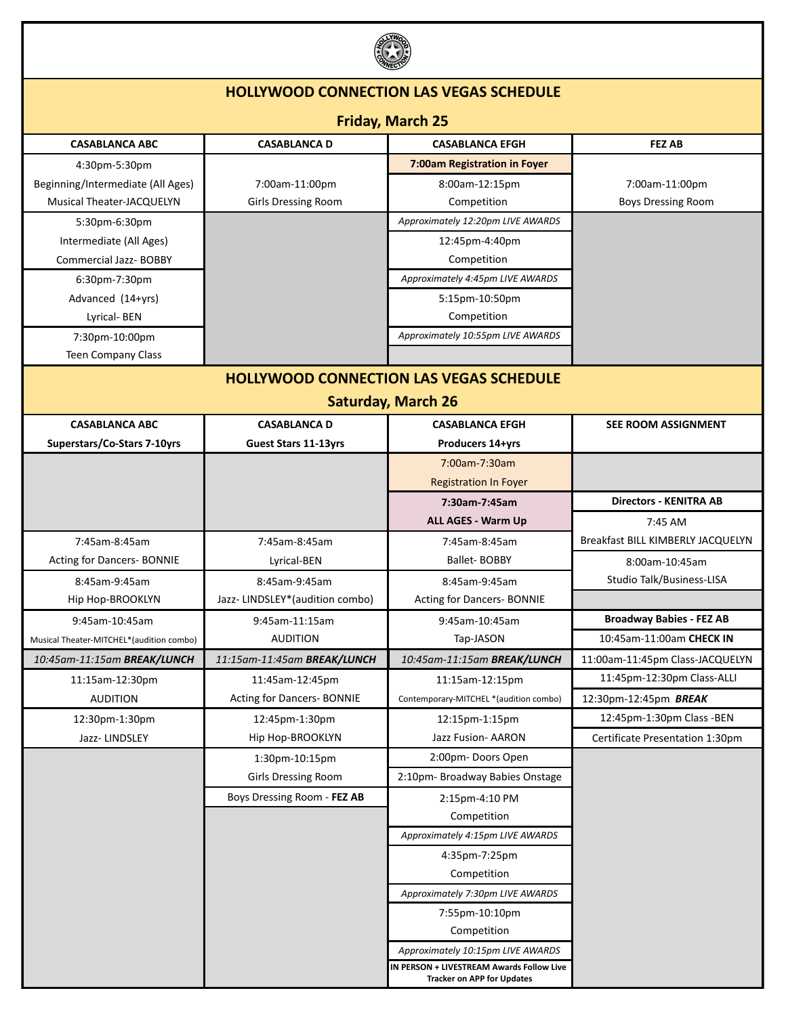

| ست                                       |                                    |                                                                                |                                   |  |  |
|------------------------------------------|------------------------------------|--------------------------------------------------------------------------------|-----------------------------------|--|--|
|                                          |                                    | <b>HOLLYWOOD CONNECTION LAS VEGAS SCHEDULE</b>                                 |                                   |  |  |
| <b>Friday, March 25</b>                  |                                    |                                                                                |                                   |  |  |
| <b>CASABLANCA ABC</b>                    | <b>CASABLANCA D</b>                | <b>CASABLANCA EFGH</b>                                                         | <b>FEZ AB</b>                     |  |  |
| 4:30pm-5:30pm                            |                                    | 7:00am Registration in Foyer                                                   |                                   |  |  |
| Beginning/Intermediate (All Ages)        | 7:00am-11:00pm                     | 8:00am-12:15pm                                                                 | 7:00am-11:00pm                    |  |  |
| Musical Theater-JACQUELYN                | <b>Girls Dressing Room</b>         | Competition                                                                    | <b>Boys Dressing Room</b>         |  |  |
| 5:30pm-6:30pm                            |                                    | Approximately 12:20pm LIVE AWARDS                                              |                                   |  |  |
| Intermediate (All Ages)                  |                                    | 12:45pm-4:40pm                                                                 |                                   |  |  |
| <b>Commercial Jazz- BOBBY</b>            |                                    | Competition                                                                    |                                   |  |  |
| 6:30pm-7:30pm                            |                                    | Approximately 4:45pm LIVE AWARDS                                               |                                   |  |  |
| Advanced (14+yrs)                        |                                    | 5:15pm-10:50pm                                                                 |                                   |  |  |
| Lyrical-BEN                              |                                    | Competition                                                                    |                                   |  |  |
| 7:30pm-10:00pm                           |                                    | Approximately 10:55pm LIVE AWARDS                                              |                                   |  |  |
| <b>Teen Company Class</b>                |                                    |                                                                                |                                   |  |  |
|                                          |                                    | <b>HOLLYWOOD CONNECTION LAS VEGAS SCHEDULE</b>                                 |                                   |  |  |
| <b>Saturday, March 26</b>                |                                    |                                                                                |                                   |  |  |
| <b>CASABLANCA ABC</b>                    | <b>CASABLANCA D</b>                | <b>CASABLANCA EFGH</b>                                                         | <b>SEE ROOM ASSIGNMENT</b>        |  |  |
| Superstars/Co-Stars 7-10yrs              | <b>Guest Stars 11-13yrs</b>        | Producers 14+yrs                                                               |                                   |  |  |
|                                          |                                    | 7:00am-7:30am                                                                  |                                   |  |  |
|                                          |                                    | <b>Registration In Foyer</b>                                                   |                                   |  |  |
|                                          |                                    | 7:30am-7:45am                                                                  | <b>Directors - KENITRA AB</b>     |  |  |
|                                          |                                    | ALL AGES - Warm Up                                                             | 7:45 AM                           |  |  |
| 7:45am-8:45am                            | 7:45am-8:45am                      | 7:45am-8:45am                                                                  | Breakfast BILL KIMBERLY JACQUELYN |  |  |
| Acting for Dancers- BONNIE               | Lyrical-BEN                        | <b>Ballet-BOBBY</b>                                                            | 8:00am-10:45am                    |  |  |
| 8:45am-9:45am                            | 8:45am-9:45am                      | 8:45am-9:45am                                                                  | Studio Talk/Business-LISA         |  |  |
| Hip Hop-BROOKLYN                         | Jazz- LINDSLEY*(audition combo)    | Acting for Dancers- BONNIE                                                     |                                   |  |  |
| 9:45am-10:45am                           | 9:45am-11:15am                     | 9:45am-10:45am                                                                 | <b>Broadway Babies - FEZ AB</b>   |  |  |
| Musical Theater-MITCHEL*(audition combo) | <b>AUDITION</b>                    | Tap-JASON                                                                      | 10:45am-11:00am CHECK IN          |  |  |
| 10:45am-11:15am BREAK/LUNCH              | 11:15am-11:45am <b>BREAK/LUNCH</b> | 10:45am-11:15am <b>BREAK/LUNCH</b>                                             | 11:00am-11:45pm Class-JACQUELYN   |  |  |
| 11:15am-12:30pm                          | 11:45am-12:45pm                    | 11:15am-12:15pm                                                                | 11:45pm-12:30pm Class-ALLI        |  |  |
| <b>AUDITION</b>                          | Acting for Dancers- BONNIE         | Contemporary-MITCHEL *(audition combo)                                         | 12:30pm-12:45pm BREAK             |  |  |
| 12:30pm-1:30pm                           | 12:45pm-1:30pm                     | 12:15pm-1:15pm                                                                 | 12:45pm-1:30pm Class -BEN         |  |  |
| Jazz-LINDSLEY                            | Hip Hop-BROOKLYN                   | Jazz Fusion- AARON                                                             | Certificate Presentation 1:30pm   |  |  |
|                                          | 1:30pm-10:15pm                     | 2:00pm-Doors Open                                                              |                                   |  |  |
|                                          | <b>Girls Dressing Room</b>         | 2:10pm- Broadway Babies Onstage                                                |                                   |  |  |
|                                          | Boys Dressing Room - FEZ AB        | 2:15pm-4:10 PM                                                                 |                                   |  |  |
|                                          |                                    | Competition                                                                    |                                   |  |  |
|                                          |                                    | Approximately 4:15pm LIVE AWARDS                                               |                                   |  |  |
|                                          |                                    | 4:35pm-7:25pm                                                                  |                                   |  |  |
|                                          |                                    | Competition                                                                    |                                   |  |  |
|                                          |                                    | Approximately 7:30pm LIVE AWARDS                                               |                                   |  |  |
|                                          |                                    | 7:55pm-10:10pm                                                                 |                                   |  |  |
|                                          |                                    | Competition                                                                    |                                   |  |  |
|                                          |                                    | Approximately 10:15pm LIVE AWARDS                                              |                                   |  |  |
|                                          |                                    | IN PERSON + LIVESTREAM Awards Follow Live<br><b>Tracker on APP for Updates</b> |                                   |  |  |